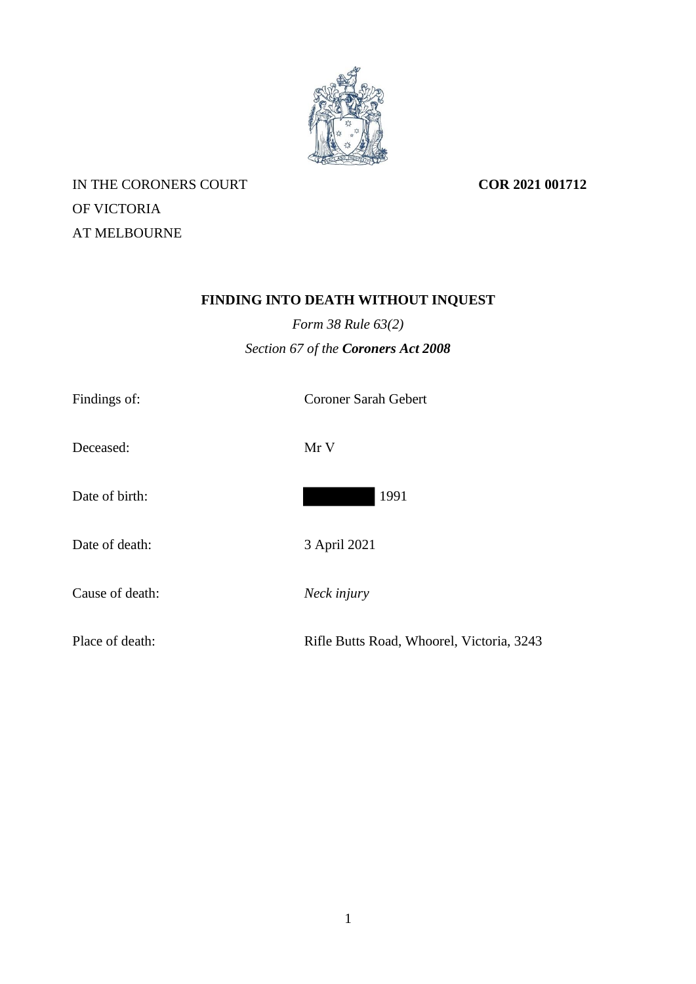

IN THE CORONERS COURT OF VICTORIA AT MELBOURNE

**COR 2021 001712**

# **FINDING INTO DEATH WITHOUT INQUEST**

*Form 38 Rule 63(2) Section 67 of the Coroners Act 2008*

| Findings of:    | <b>Coroner Sarah Gebert</b>               |
|-----------------|-------------------------------------------|
| Deceased:       | Mr V                                      |
| Date of birth:  | 1991                                      |
| Date of death:  | 3 April 2021                              |
| Cause of death: | Neck injury                               |
| Place of death: | Rifle Butts Road, Whoorel, Victoria, 3243 |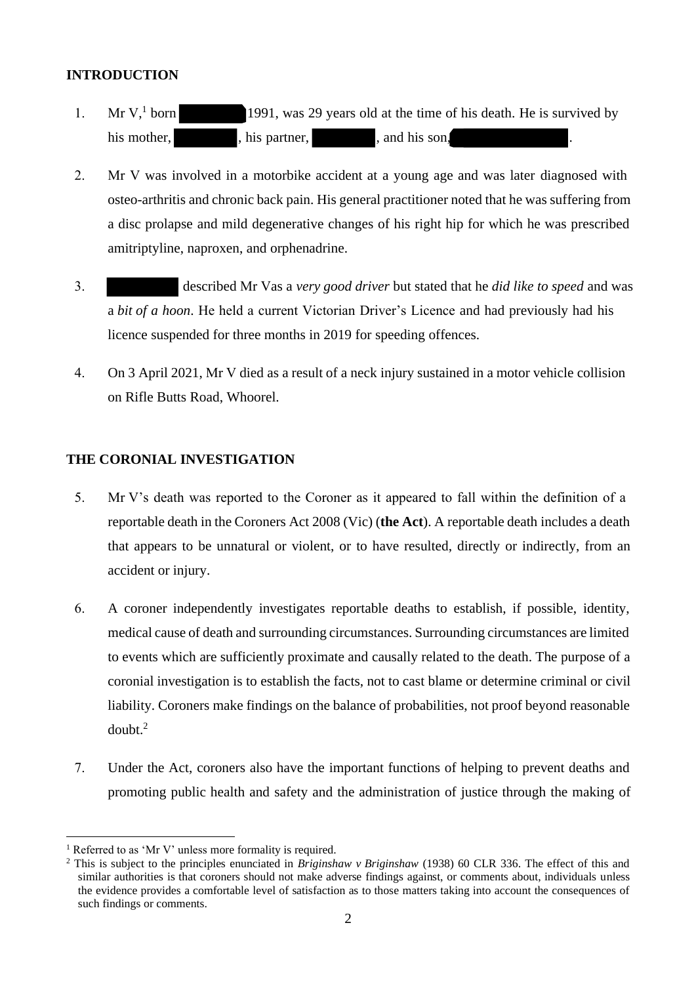### **INTRODUCTION**

- 1. Mr V, born 1991, was 29 years old at the time of his death. He is survived by his mother, his partner, and his son,
- 2. Mr V was involved in a motorbike accident at a young age and was later diagnosed with osteo-arthritis and chronic back pain. His general practitioner noted that he was suffering from a disc prolapse and mild degenerative changes of his right hip for which he was prescribed amitriptyline, naproxen, and orphenadrine.
- 3. described Mr Vas a *very good driver* but stated that he *did like to speed* and was a *bit of a hoon*. He held a current Victorian Driver's Licence and had previously had his licence suspended for three months in 2019 for speeding offences.
- 4. On 3 April 2021, Mr V died as a result of a neck injury sustained in a motor vehicle collision on Rifle Butts Road, Whoorel.

## **THE CORONIAL INVESTIGATION**

- 5. Mr V's death was reported to the Coroner as it appeared to fall within the definition of a reportable death in the Coroners Act 2008 (Vic) (**the Act**). A reportable death includes a death that appears to be unnatural or violent, or to have resulted, directly or indirectly, from an accident or injury.
- 6. A coroner independently investigates reportable deaths to establish, if possible, identity, medical cause of death and surrounding circumstances. Surrounding circumstances are limited to events which are sufficiently proximate and causally related to the death. The purpose of a coronial investigation is to establish the facts, not to cast blame or determine criminal or civil liability. Coroners make findings on the balance of probabilities, not proof beyond reasonable doubt.<sup>2</sup>
- 7. Under the Act, coroners also have the important functions of helping to prevent deaths and promoting public health and safety and the administration of justice through the making of

Referred to as 'Mr V' unless more formality is required.

<sup>2</sup> This is subject to the principles enunciated in *Briginshaw v Briginshaw* (1938) 60 CLR 336. The effect of this and similar authorities is that coroners should not make adverse findings against, or comments about, individuals unless the evidence provides a comfortable level of satisfaction as to those matters taking into account the consequences of such findings or comments.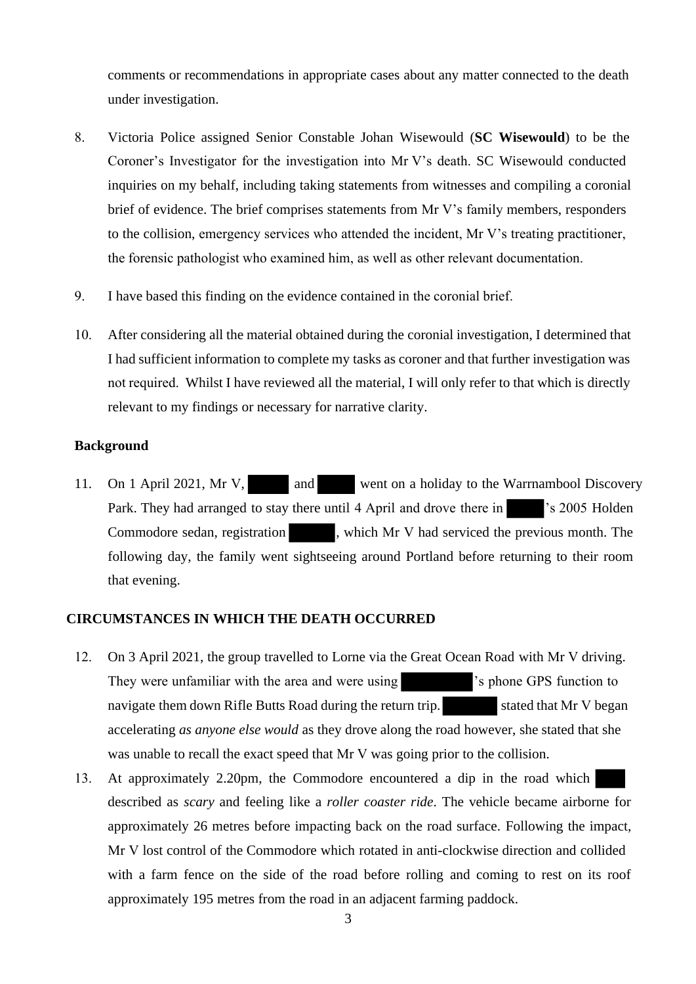comments or recommendations in appropriate cases about any matter connected to the death under investigation.

- 8. Victoria Police assigned Senior Constable Johan Wisewould (**SC Wisewould**) to be the Coroner's Investigator for the investigation into Mr V's death. SC Wisewould conducted inquiries on my behalf, including taking statements from witnesses and compiling a coronial brief of evidence. The brief comprises statements from Mr V's family members, responders to the collision, emergency services who attended the incident, Mr V's treating practitioner, the forensic pathologist who examined him, as well as other relevant documentation.
- 9. I have based this finding on the evidence contained in the coronial brief.
- 10. After considering all the material obtained during the coronial investigation, I determined that I had sufficient information to complete my tasks as coroner and that further investigation was not required.  Whilst I have reviewed all the material, I will only refer to that which is directly relevant to my findings or necessary for narrative clarity.

#### **Background**

11. On 1 April 2021, Mr V, and went on a holiday to the Warrnambool Discovery Park. They had arranged to stay there until 4 April and drove there in 's 2005 Holden's Commodore sedan, registration , which Mr V had serviced the previous month. The following day, the family went sightseeing around Portland before returning to their room that evening.

#### **CIRCUMSTANCES IN WHICH THE DEATH OCCURRED**

- 12. On 3 April 2021, the group travelled to Lorne via the Great Ocean Road with Mr V driving. They were unfamiliar with the area and were using  $\blacksquare$  's phone GPS function to navigate them down Rifle Butts Road during the return trip. stated that Mr V began accelerating *as anyone else would* as they drove along the road however, she stated that she was unable to recall the exact speed that Mr V was going prior to the collision.
- 13. At approximately 2.20pm, the Commodore encountered a dip in the road which described as *scary* and feeling like a *roller coaster ride*. The vehicle became airborne for approximately 26 metres before impacting back on the road surface. Following the impact, Mr V lost control of the Commodore which rotated in anti-clockwise direction and collided with a farm fence on the side of the road before rolling and coming to rest on its roof approximately 195 metres from the road in an adjacent farming paddock.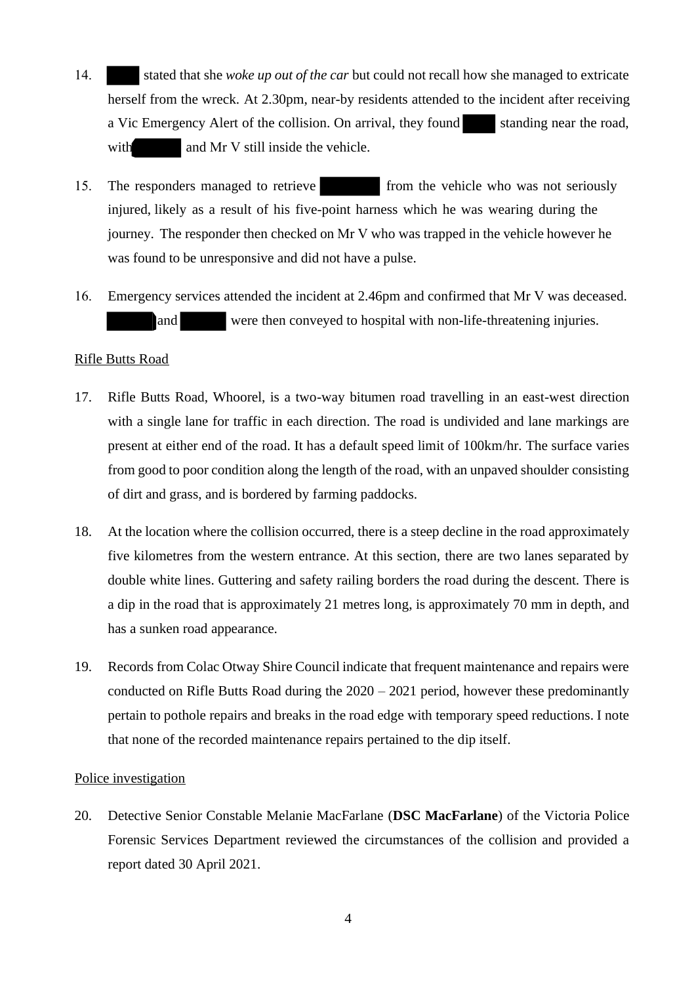- 14. stated that she *woke up out of the car* but could not recall how she managed to extricate herself from the wreck. At 2.30pm, near-by residents attended to the incident after receiving a Vic Emergency Alert of the collision. On arrival, they found standing near the road, with and Mr V still inside the vehicle.
- 15. The responders managed to retrieve from the vehicle who was not seriously injured, likely as a result of his five-point harness which he was wearing during the journey. The responder then checked on Mr V who was trapped in the vehicle however he was found to be unresponsive and did not have a pulse.
- 16. Emergency services attended the incident at 2.46pm and confirmed that Mr V was deceased. and were then conveyed to hospital with non-life-threatening injuries.

#### Rifle Butts Road

- 17. Rifle Butts Road, Whoorel, is a two-way bitumen road travelling in an east-west direction with a single lane for traffic in each direction. The road is undivided and lane markings are present at either end of the road. It has a default speed limit of 100km/hr. The surface varies from good to poor condition along the length of the road, with an unpaved shoulder consisting of dirt and grass, and is bordered by farming paddocks.
- 18. At the location where the collision occurred, there is a steep decline in the road approximately five kilometres from the western entrance. At this section, there are two lanes separated by double white lines. Guttering and safety railing borders the road during the descent. There is a dip in the road that is approximately 21 metres long, is approximately 70 mm in depth, and has a sunken road appearance.
- 19. Records from Colac Otway Shire Council indicate that frequent maintenance and repairs were conducted on Rifle Butts Road during the  $2020 - 2021$  period, however these predominantly pertain to pothole repairs and breaks in the road edge with temporary speed reductions. I note that none of the recorded maintenance repairs pertained to the dip itself.

#### Police investigation

20. Detective Senior Constable Melanie MacFarlane (**DSC MacFarlane**) of the Victoria Police Forensic Services Department reviewed the circumstances of the collision and provided a report dated 30 April 2021.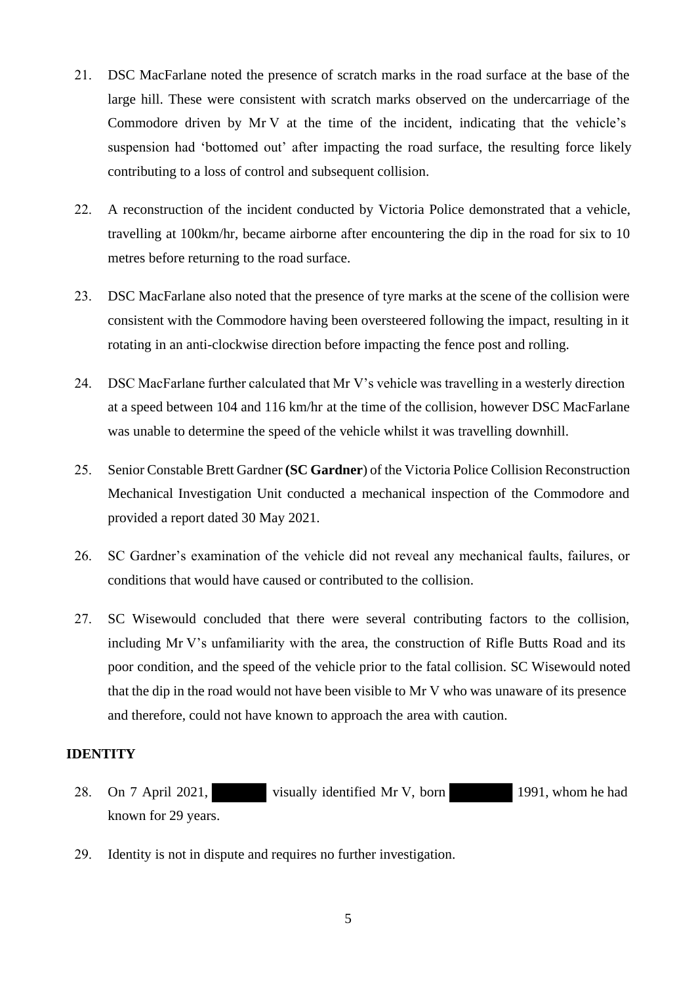- 21. DSC MacFarlane noted the presence of scratch marks in the road surface at the base of the large hill. These were consistent with scratch marks observed on the undercarriage of the Commodore driven by Mr V at the time of the incident, indicating that the vehicle's suspension had 'bottomed out' after impacting the road surface, the resulting force likely contributing to a loss of control and subsequent collision.
- 22. A reconstruction of the incident conducted by Victoria Police demonstrated that a vehicle, travelling at 100km/hr, became airborne after encountering the dip in the road for six to 10 metres before returning to the road surface.
- 23. DSC MacFarlane also noted that the presence of tyre marks at the scene of the collision were consistent with the Commodore having been oversteered following the impact, resulting in it rotating in an anti-clockwise direction before impacting the fence post and rolling.
- 24. DSC MacFarlane further calculated that Mr V's vehicle was travelling in a westerly direction at a speed between 104 and 116 km/hr at the time of the collision, however DSC MacFarlane was unable to determine the speed of the vehicle whilst it was travelling downhill.
- 25. Senior Constable Brett Gardner **(SC Gardner**) of the Victoria Police Collision Reconstruction Mechanical Investigation Unit conducted a mechanical inspection of the Commodore and provided a report dated 30 May 2021.
- 26. SC Gardner's examination of the vehicle did not reveal any mechanical faults, failures, or conditions that would have caused or contributed to the collision.
- 27. SC Wisewould concluded that there were several contributing factors to the collision, including Mr V's unfamiliarity with the area, the construction of Rifle Butts Road and its poor condition, and the speed of the vehicle prior to the fatal collision. SC Wisewould noted that the dip in the road would not have been visible to Mr V who was unaware of its presence and therefore, could not have known to approach the area with caution.

### **IDENTITY**

- 28. On 7 April 2021, visually identified Mr V, born 1991, whom he had known for 29 years.
- 29. Identity is not in dispute and requires no further investigation.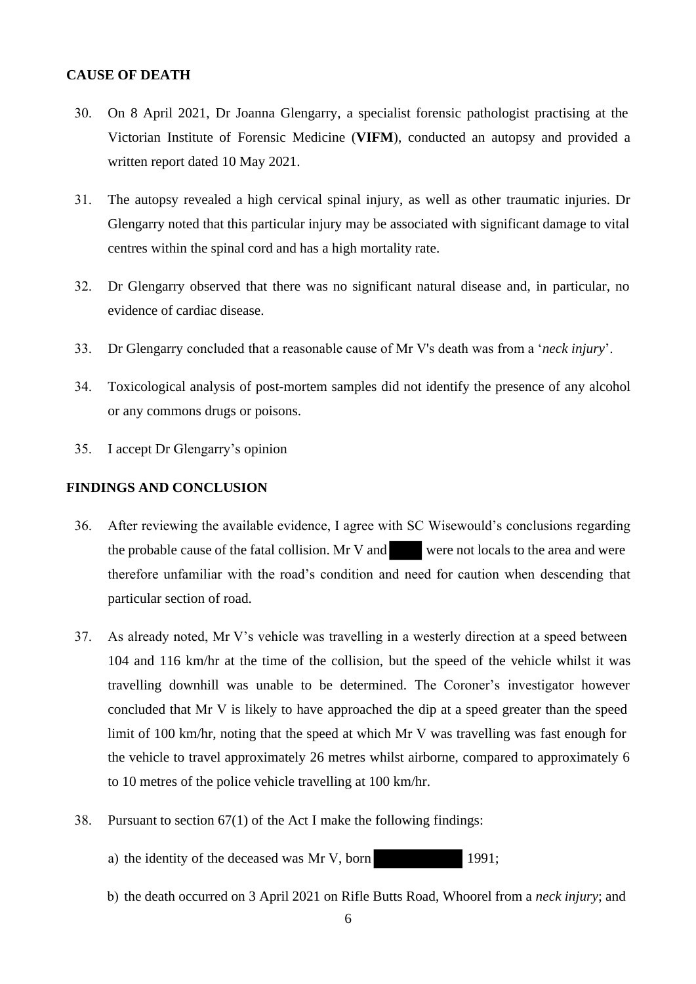#### **CAUSE OF DEATH**

- 30. On 8 April 2021, Dr Joanna Glengarry, a specialist forensic pathologist practising at the Victorian Institute of Forensic Medicine (**VIFM**), conducted an autopsy and provided a written report dated 10 May 2021.
- 31. The autopsy revealed a high cervical spinal injury, as well as other traumatic injuries. Dr Glengarry noted that this particular injury may be associated with significant damage to vital centres within the spinal cord and has a high mortality rate.
- 32. Dr Glengarry observed that there was no significant natural disease and, in particular, no evidence of cardiac disease.
- 33. Dr Glengarry concluded that a reasonable cause of Mr V's death was from a '*neck injury*'.
- 34. Toxicological analysis of post-mortem samples did not identify the presence of any alcohol or any commons drugs or poisons.
- 35. I accept Dr Glengarry's opinion

#### **FINDINGS AND CONCLUSION**

- 36. After reviewing the available evidence, I agree with SC Wisewould's conclusions regarding the probable cause of the fatal collision. Mr V and were not locals to the area and were therefore unfamiliar with the road's condition and need for caution when descending that particular section of road.
- 37. As already noted, Mr V's vehicle was travelling in a westerly direction at a speed between 104 and 116 km/hr at the time of the collision, but the speed of the vehicle whilst it was travelling downhill was unable to be determined. The Coroner's investigator however concluded that Mr V is likely to have approached the dip at a speed greater than the speed limit of 100 km/hr, noting that the speed at which Mr V was travelling was fast enough for the vehicle to travel approximately 26 metres whilst airborne, compared to approximately 6 to 10 metres of the police vehicle travelling at 100 km/hr.
- 38. Pursuant to section 67(1) of the Act I make the following findings:
	- a) the identity of the deceased was Mr V, born 1991;
	- b) the death occurred on 3 April 2021 on Rifle Butts Road, Whoorel from a *neck injury*; and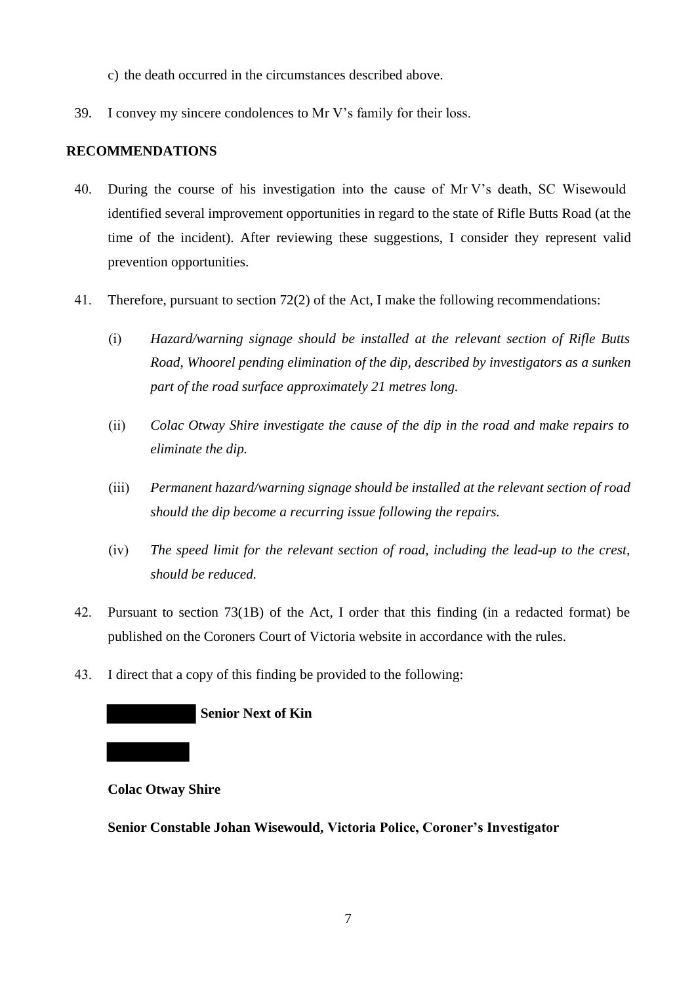- c) the death occurred in the circumstances described above.
- 39. I convey my sincere condolences to Mr V's family for their loss.

### **RECOMMENDATIONS**

- 40. During the course of his investigation into the cause of Mr V's death, SC Wisewould identified several improvement opportunities in regard to the state of Rifle Butts Road (at the time of the incident). After reviewing these suggestions, I consider they represent valid prevention opportunities.
- 41. Therefore, pursuant to section 72(2) of the Act, I make the following recommendations:
	- (i) *Hazard/warning signage should be installed at the relevant section of Rifle Butts Road, Whoorel pending elimination of the dip, described by investigators as a sunken part of the road surface approximately 21 metres long.*
	- (ii) *Colac Otway Shire investigate the cause of the dip in the road and make repairs to eliminate the dip.*
	- (iii) *Permanent hazard/warning signage should be installed at the relevant section of road should the dip become a recurring issue following the repairs.*
	- (iv) *The speed limit for the relevant section of road, including the lead-up to the crest, should be reduced.*
- 42. Pursuant to section 73(1B) of the Act, I order that this finding (in a redacted format) be published on the Coroners Court of Victoria website in accordance with the rules.
- 43. I direct that a copy of this finding be provided to the following:

#### **Senior Next of Kin**

#### **Colac Otway Shire**

**Senior Constable Johan Wisewould, Victoria Police, Coroner's Investigator**